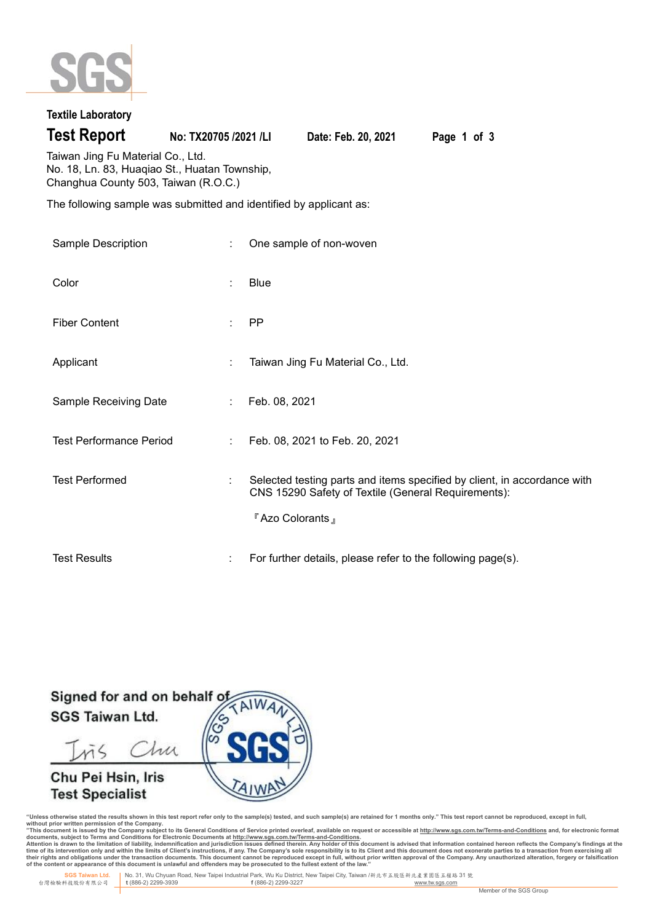

## **Textile Laboratory**

**Test Report No: TX20705 /2021 /LI Date: Feb. 20, 2021 Page 1 of 3**

Taiwan Jing Fu Material Co., Ltd. No. 18, Ln. 83, Huaqiao St., Huatan Township, Changhua County 503, Taiwan (R.O.C.)

The following sample was submitted and identified by applicant as:

| Sample Description             | ÷              | One sample of non-woven                                                                                                                            |  |
|--------------------------------|----------------|----------------------------------------------------------------------------------------------------------------------------------------------------|--|
| Color                          | ÷              | Blue                                                                                                                                               |  |
| <b>Fiber Content</b>           | ÷              | PP.                                                                                                                                                |  |
| Applicant                      | ÷              | Taiwan Jing Fu Material Co., Ltd.                                                                                                                  |  |
| Sample Receiving Date          | $\mathbb{R}^n$ | Feb. 08, 2021                                                                                                                                      |  |
| <b>Test Performance Period</b> | ÷              | Feb. 08, 2021 to Feb. 20, 2021                                                                                                                     |  |
| <b>Test Performed</b>          | ÷              | Selected testing parts and items specified by client, in accordance with<br>CNS 15290 Safety of Textile (General Requirements):<br>『Azo Colorants』 |  |
| <b>Test Results</b>            | ÷              | For further details, please refer to the following page(s).                                                                                        |  |

Signed for and on behalf o **SGS Taiwan Ltd.** 

Chu mζ

# Chu Pei Hsin, Iris **Test Specialist**



"Unless otherwise stated the results shown in this test report refer only to the sample(s) tested, and such sample(s) are retained for 1 months only." This test report cannot be reproduced, except in full,<br>without prior wr

documents, subject to Terms and Conditions for Electronic Documents at <u>http://www.sqs.com.tw/Terms-and-Conditions</u><br>Attention is drawn to the limitation of liability, indemnification and jurisdiction issues defined threin.

 **SGS Taiwan Ltd.** No. 31, Wu Chyuan Road, New Taipei Industrial Park, Wu Ku District, New Taipei City, Taiwan /新北市五股區新北產業園區五權路 31 號 台灣檢驗科技股份有限公司 **t** (886-2) 2299-3939 **f** (886-2) 2299-3227 www.tw.sgs.com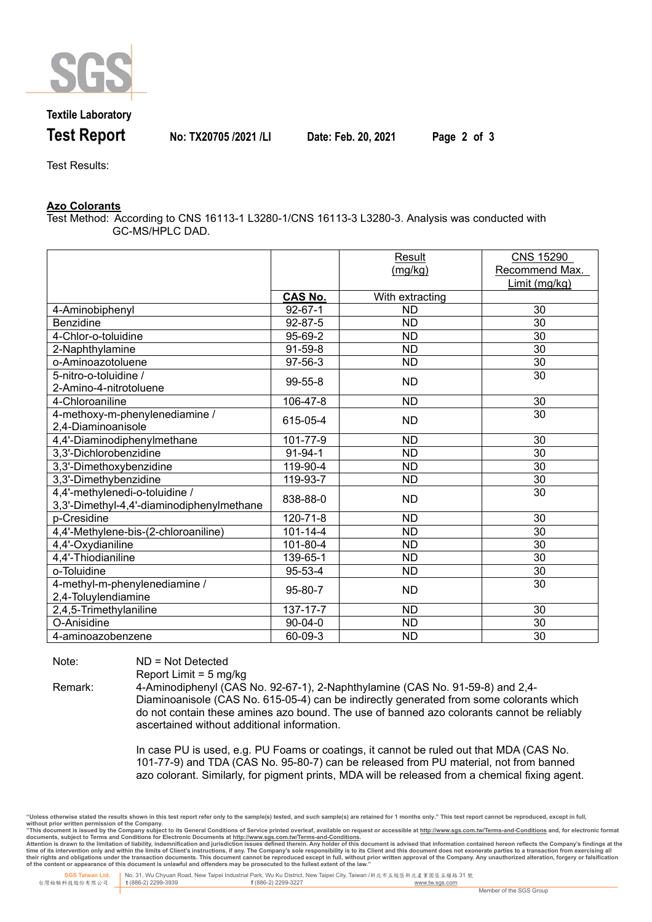

## **Textile Laboratory**

**Test Report No: TX20705 /2021 /LI Date: Feb. 20, 2021 Page 2 of 3**

Test Results:

### **Azo Colorants**

Test Method: According to CNS 16113-1 L3280-1/CNS 16113-3 L3280-3. Analysis was conducted with GC-MS/HPLC DAD.

|                                           |                           | Result          | <b>CNS 15290</b> |
|-------------------------------------------|---------------------------|-----------------|------------------|
|                                           |                           | (mg/kg)         | Recommend Max.   |
|                                           |                           |                 | Limit (mg/kg)    |
|                                           | <b>CAS No.</b>            | With extracting |                  |
| 4-Aminobiphenyl                           | $92 - 67 - 1$             | <b>ND</b>       | 30               |
| Benzidine                                 | 92-87-5                   | <b>ND</b>       | 30               |
| 4-Chlor-o-toluidine                       | 95-69-2                   | <b>ND</b>       | 30               |
| 2-Naphthylamine                           | $91 - 59 - 8$             | <b>ND</b>       | 30               |
| o-Aminoazotoluene                         | 97-56-3                   | <b>ND</b>       | 30               |
| 5-nitro-o-toluidine /                     | 99-55-8                   | ND.             | 30               |
| 2-Amino-4-nitrotoluene                    |                           |                 |                  |
| 4-Chloroaniline                           | 106-47-8                  | <b>ND</b>       | 30               |
| 4-methoxy-m-phenylenediamine /            | 615-05-4                  | ND.             | 30               |
| 2,4-Diaminoanisole                        |                           |                 |                  |
| 4,4'-Diaminodiphenylmethane               | 101-77-9                  | <b>ND</b>       | 30               |
| 3,3'-Dichlorobenzidine                    | 91-94-1                   | <b>ND</b>       | 30               |
| 3,3'-Dimethoxybenzidine                   | 119-90-4                  | <b>ND</b>       | 30               |
| 3,3'-Dimethybenzidine                     | 119-93-7                  | <b>ND</b>       | 30               |
| 4,4'-methylenedi-o-toluidine /            | 838-88-0                  | <b>ND</b>       | 30               |
| 3,3'-Dimethyl-4,4'-diaminodiphenylmethane |                           |                 |                  |
| p-Cresidine                               | 120-71-8                  | <b>ND</b>       | 30               |
| 4,4'-Methylene-bis-(2-chloroaniline)      | $101 - 14 - 4$            | <b>ND</b>       | 30               |
| 4,4'-Oxydianiline                         | 101-80-4                  | <b>ND</b>       | 30               |
| 4,4'-Thiodianiline                        | 139-65-1                  | <b>ND</b>       | 30               |
| o-Toluidine                               | 95-53-4                   | <b>ND</b>       | 30               |
| 4-methyl-m-phenylenediamine /             |                           |                 | 30               |
| 2,4-Toluylendiamine                       | 95-80-7                   | <b>ND</b>       |                  |
| 2,4,5-Trimethylaniline                    | $\overline{1}37 - 17 - 7$ | <b>ND</b>       | 30               |
| O-Anisidine                               | $90 - 04 - 0$             | <b>ND</b>       | 30               |
| 4-aminoazobenzene                         | 60-09-3                   | <b>ND</b>       | 30               |

Note: ND = Not Detected

Report Limit = 5 mg/kg

Remark: 4-Aminodiphenyl (CAS No. 92-67-1), 2-Naphthylamine (CAS No. 91-59-8) and 2,4- Diaminoanisole (CAS No. 615-05-4) can be indirectly generated from some colorants which do not contain these amines azo bound. The use of banned azo colorants cannot be reliably ascertained without additional information.

> In case PU is used, e.g. PU Foams or coatings, it cannot be ruled out that MDA (CAS No. 101-77-9) and TDA (CAS No. 95-80-7) can be released from PU material, not from banned azo colorant. Similarly, for pigment prints, MDA will be released from a chemical fixing agent.

"Unless otherwise stated the results shown in this test report refer only to the sample(s) tested, and such sample(s) are retained for 1 months only." This test report cannot be reproduced, except in full,<br>without prior wr

documents, subject to Terms and Conditions for Electronic Documents at <u>http://www.sqs.com.tw/Terms-and-Conditions</u><br>Attention is drawn to the limitation of liability, indemnification and jurisdiction issues defined threin.